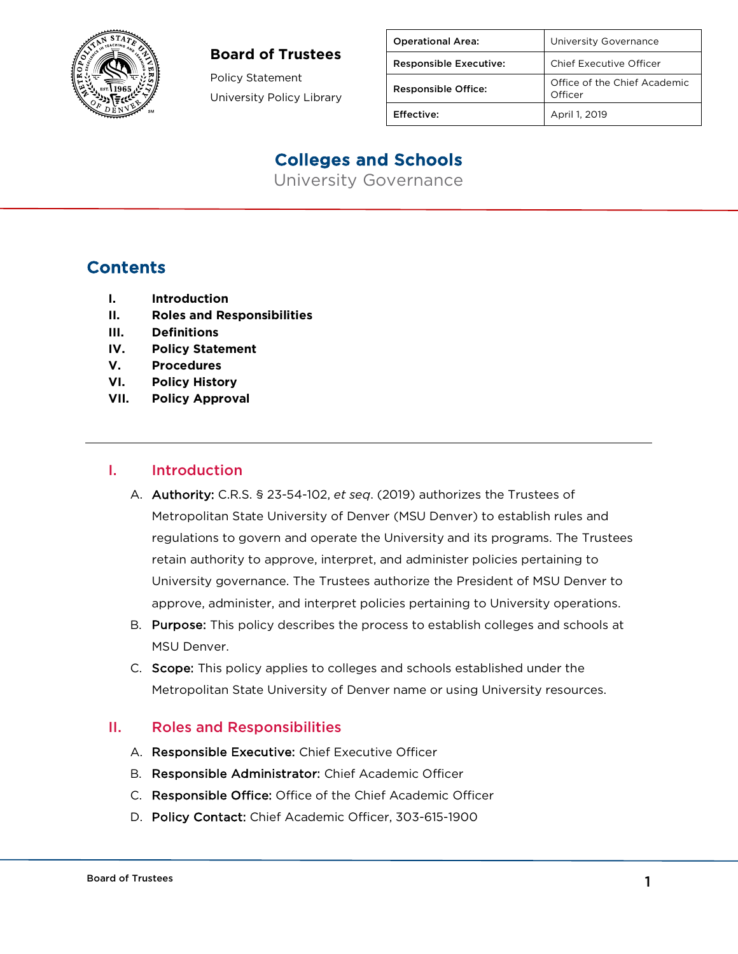

Policy Statement University Policy Library

| <b>Operational Area:</b>      | University Governance                   |
|-------------------------------|-----------------------------------------|
| <b>Responsible Executive:</b> | <b>Chief Executive Officer</b>          |
| <b>Responsible Office:</b>    | Office of the Chief Academic<br>Officer |
| Effective:                    | April 1, 2019                           |

# Colleges and Schools

University Governance

### **Contents**

- **I. Introduction**
- **II. Roles and Responsibilities**
- **III. Definitions**
- **IV. Policy Statement**
- **V. Procedures**
- **VI. Policy History**
- **VII. Policy Approval**

#### I. Introduction

- A. Authority: C.R.S. § 23-54-102, *et seq*. (2019) authorizes the Trustees of Metropolitan State University of Denver (MSU Denver) to establish rules and regulations to govern and operate the University and its programs. The Trustees retain authority to approve, interpret, and administer policies pertaining to University governance. The Trustees authorize the President of MSU Denver to approve, administer, and interpret policies pertaining to University operations.
- B. Purpose: This policy describes the process to establish colleges and schools at MSU Denver.
- C. Scope: This policy applies to colleges and schools established under the Metropolitan State University of Denver name or using University resources.

#### II. Roles and Responsibilities

- A. Responsible Executive: Chief Executive Officer
- B. Responsible Administrator: Chief Academic Officer
- C. Responsible Office: Office of the Chief Academic Officer
- D. Policy Contact: Chief Academic Officer, 303-615-1900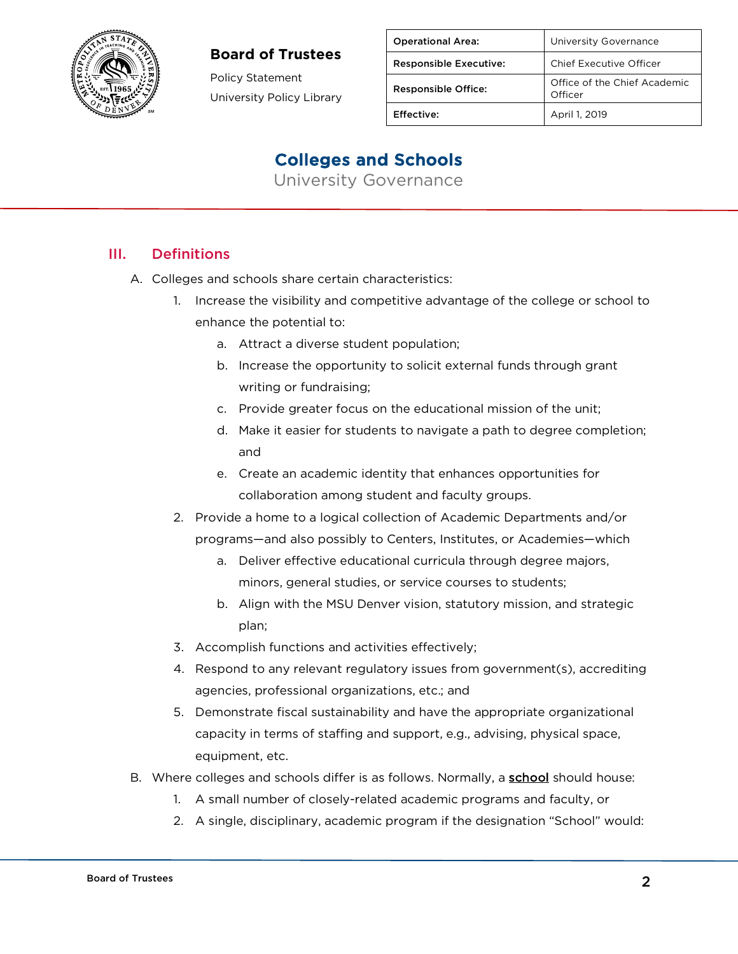

Policy Statement University Policy Library

| <b>Operational Area:</b>      | University Governance                   |
|-------------------------------|-----------------------------------------|
| <b>Responsible Executive:</b> | Chief Executive Officer                 |
| <b>Responsible Office:</b>    | Office of the Chief Academic<br>Officer |
| Effective:                    | April 1, 2019                           |

### Colleges and Schools

University Governance

### III. Definitions

- A. Colleges and schools share certain characteristics:
	- 1. Increase the visibility and competitive advantage of the college or school to enhance the potential to:
		- a. Attract a diverse student population;
		- b. Increase the opportunity to solicit external funds through grant writing or fundraising;
		- c. Provide greater focus on the educational mission of the unit;
		- d. Make it easier for students to navigate a path to degree completion; and
		- e. Create an academic identity that enhances opportunities for collaboration among student and faculty groups.
	- 2. Provide a home to a logical collection of Academic Departments and/or programs—and also possibly to Centers, Institutes, or Academies—which
		- a. Deliver effective educational curricula through degree majors, minors, general studies, or service courses to students;
		- b. Align with the MSU Denver vision, statutory mission, and strategic plan;
	- 3. Accomplish functions and activities effectively;
	- 4. Respond to any relevant regulatory issues from government(s), accrediting agencies, professional organizations, etc.; and
	- 5. Demonstrate fiscal sustainability and have the appropriate organizational capacity in terms of staffing and support, e.g., advising, physical space, equipment, etc.
- B. Where colleges and schools differ is as follows. Normally, a school should house:
	- 1. A small number of closely-related academic programs and faculty, or
	- 2. A single, disciplinary, academic program if the designation "School" would: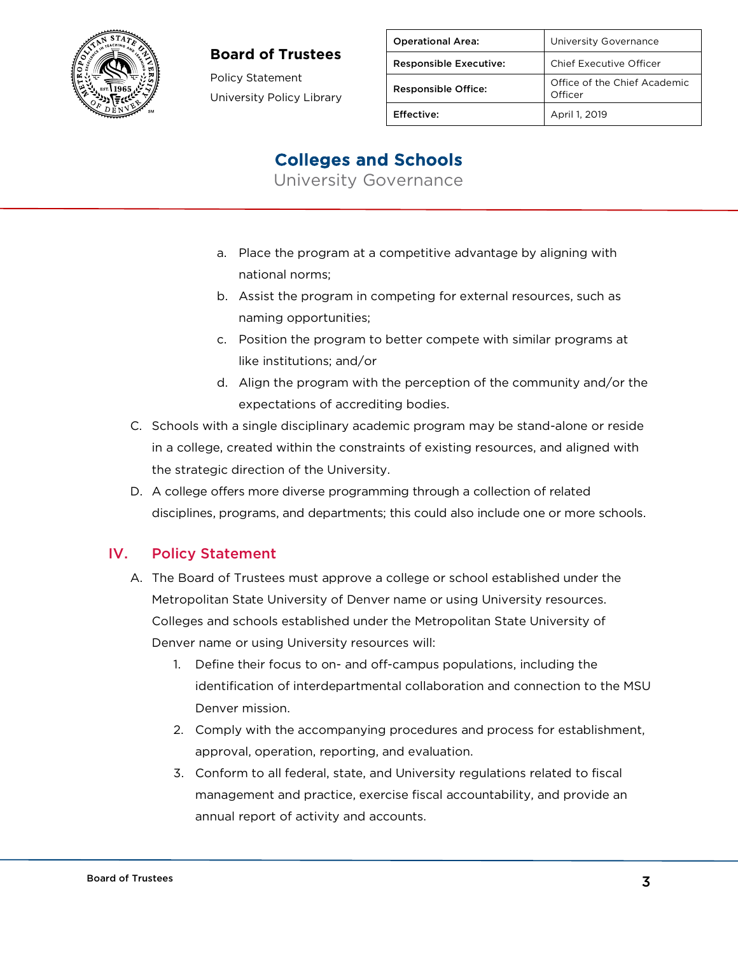

Policy Statement University Policy Library

| <b>Operational Area:</b>      | University Governance                   |
|-------------------------------|-----------------------------------------|
| <b>Responsible Executive:</b> | Chief Executive Officer                 |
| <b>Responsible Office:</b>    | Office of the Chief Academic<br>Officer |
| Effective:                    | April 1, 2019                           |

## Colleges and Schools

University Governance

- a. Place the program at a competitive advantage by aligning with national norms;
- b. Assist the program in competing for external resources, such as naming opportunities;
- c. Position the program to better compete with similar programs at like institutions; and/or
- d. Align the program with the perception of the community and/or the expectations of accrediting bodies.
- C. Schools with a single disciplinary academic program may be stand-alone or reside in a college, created within the constraints of existing resources, and aligned with the strategic direction of the University.
- D. A college offers more diverse programming through a collection of related disciplines, programs, and departments; this could also include one or more schools.

### IV. Policy Statement

- A. The Board of Trustees must approve a college or school established under the Metropolitan State University of Denver name or using University resources. Colleges and schools established under the Metropolitan State University of Denver name or using University resources will:
	- 1. Define their focus to on- and off-campus populations, including the identification of interdepartmental collaboration and connection to the MSU Denver mission.
	- 2. Comply with the accompanying procedures and process for establishment, approval, operation, reporting, and evaluation.
	- 3. Conform to all federal, state, and University regulations related to fiscal management and practice, exercise fiscal accountability, and provide an annual report of activity and accounts.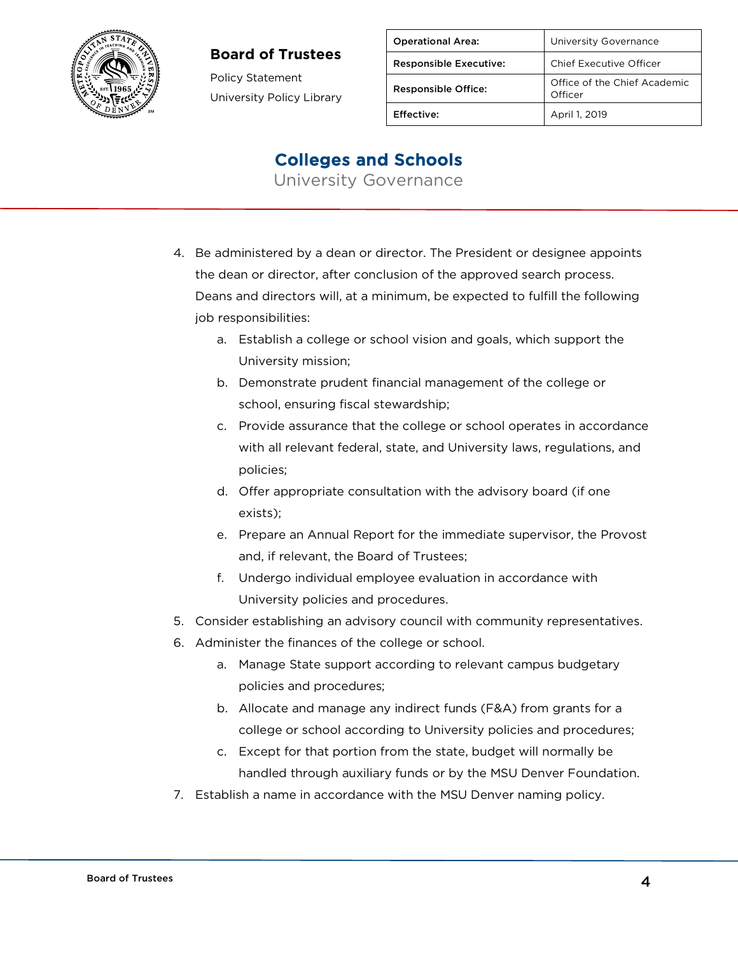

Policy Statement University Policy Library

| <b>Operational Area:</b>      | University Governance                   |
|-------------------------------|-----------------------------------------|
| <b>Responsible Executive:</b> | Chief Executive Officer                 |
| <b>Responsible Office:</b>    | Office of the Chief Academic<br>Officer |
| Effective:                    | April 1, 2019                           |

### Colleges and Schools

University Governance

- 4. Be administered by a dean or director. The President or designee appoints the dean or director, after conclusion of the approved search process. Deans and directors will, at a minimum, be expected to fulfill the following job responsibilities:
	- a. Establish a college or school vision and goals, which support the University mission;
	- b. Demonstrate prudent financial management of the college or school, ensuring fiscal stewardship;
	- c. Provide assurance that the college or school operates in accordance with all relevant federal, state, and University laws, regulations, and policies;
	- d. Offer appropriate consultation with the advisory board (if one exists);
	- e. Prepare an Annual Report for the immediate supervisor, the Provost and, if relevant, the Board of Trustees;
	- f. Undergo individual employee evaluation in accordance with University policies and procedures.
- 5. Consider establishing an advisory council with community representatives.
- 6. Administer the finances of the college or school.
	- a. Manage State support according to relevant campus budgetary policies and procedures;
	- b. Allocate and manage any indirect funds (F&A) from grants for a college or school according to University policies and procedures;
	- c. Except for that portion from the state, budget will normally be handled through auxiliary funds or by the MSU Denver Foundation.
- 7. Establish a name in accordance with the MSU Denver naming policy.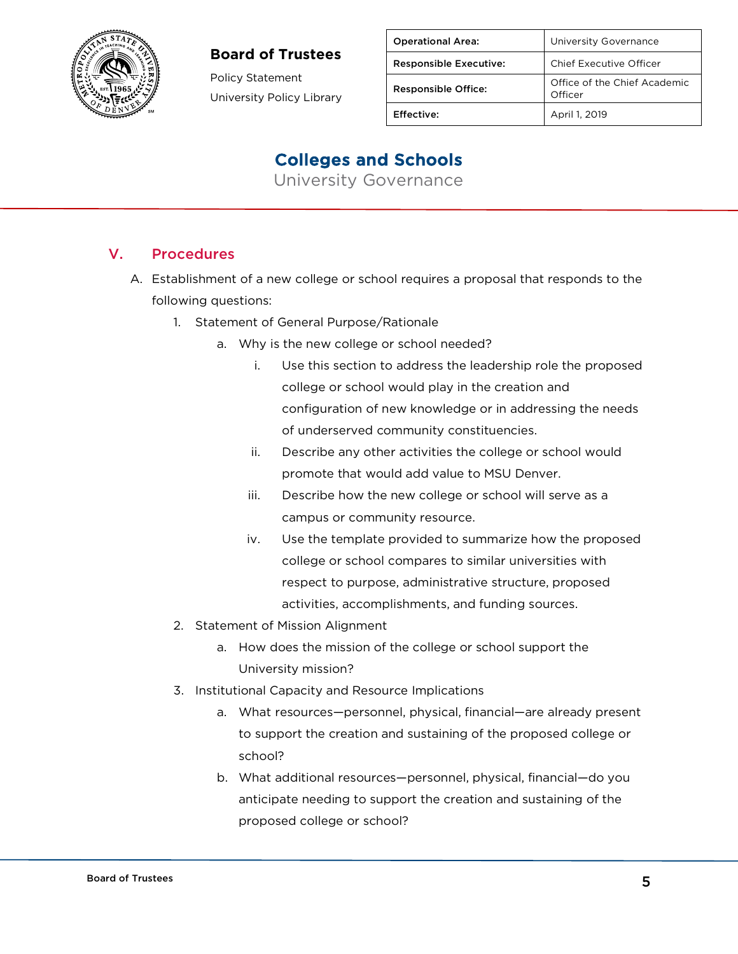

Policy Statement University Policy Library

| <b>Operational Area:</b>      | University Governance                   |
|-------------------------------|-----------------------------------------|
| <b>Responsible Executive:</b> | <b>Chief Executive Officer</b>          |
| <b>Responsible Office:</b>    | Office of the Chief Academic<br>Officer |
| Effective:                    | April 1, 2019                           |

### Colleges and Schools

University Governance

### V. Procedures

- A. Establishment of a new college or school requires a proposal that responds to the following questions:
	- 1. Statement of General Purpose/Rationale
		- a. Why is the new college or school needed?
			- i. Use this section to address the leadership role the proposed college or school would play in the creation and configuration of new knowledge or in addressing the needs of underserved community constituencies.
			- ii. Describe any other activities the college or school would promote that would add value to MSU Denver.
			- iii. Describe how the new college or school will serve as a campus or community resource.
			- iv. Use the template provided to summarize how the proposed college or school compares to similar universities with respect to purpose, administrative structure, proposed activities, accomplishments, and funding sources.
	- 2. Statement of Mission Alignment
		- a. How does the mission of the college or school support the University mission?
	- 3. Institutional Capacity and Resource Implications
		- a. What resources—personnel, physical, financial—are already present to support the creation and sustaining of the proposed college or school?
		- b. What additional resources—personnel, physical, financial—do you anticipate needing to support the creation and sustaining of the proposed college or school?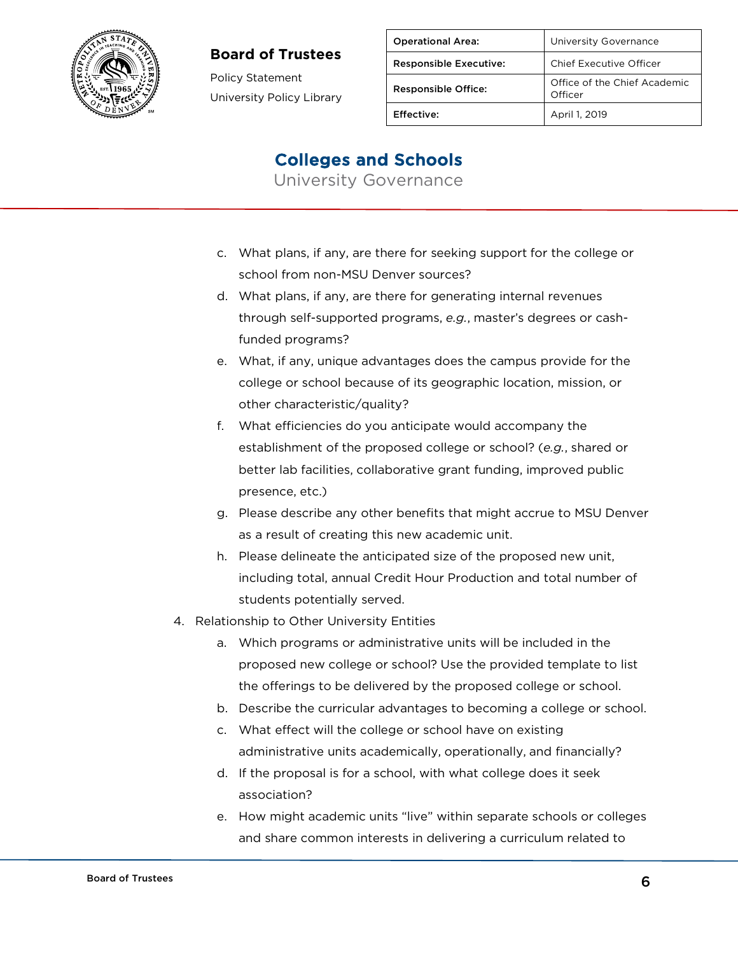

Policy Statement University Policy Library

| <b>Operational Area:</b>      | University Governance                   |
|-------------------------------|-----------------------------------------|
| <b>Responsible Executive:</b> | <b>Chief Executive Officer</b>          |
| <b>Responsible Office:</b>    | Office of the Chief Academic<br>Officer |
| Effective:                    | April 1, 2019                           |

### Colleges and Schools

University Governance

- c. What plans, if any, are there for seeking support for the college or school from non-MSU Denver sources?
- d. What plans, if any, are there for generating internal revenues through self-supported programs, *e.g.*, master's degrees or cashfunded programs?
- e. What, if any, unique advantages does the campus provide for the college or school because of its geographic location, mission, or other characteristic/quality?
- f. What efficiencies do you anticipate would accompany the establishment of the proposed college or school? (*e.g.*, shared or better lab facilities, collaborative grant funding, improved public presence, etc.)
- g. Please describe any other benefits that might accrue to MSU Denver as a result of creating this new academic unit.
- h. Please delineate the anticipated size of the proposed new unit, including total, annual Credit Hour Production and total number of students potentially served.
- 4. Relationship to Other University Entities
	- a. Which programs or administrative units will be included in the proposed new college or school? Use the provided template to list the offerings to be delivered by the proposed college or school.
	- b. Describe the curricular advantages to becoming a college or school.
	- c. What effect will the college or school have on existing administrative units academically, operationally, and financially?
	- d. If the proposal is for a school, with what college does it seek association?
	- e. How might academic units "live" within separate schools or colleges and share common interests in delivering a curriculum related to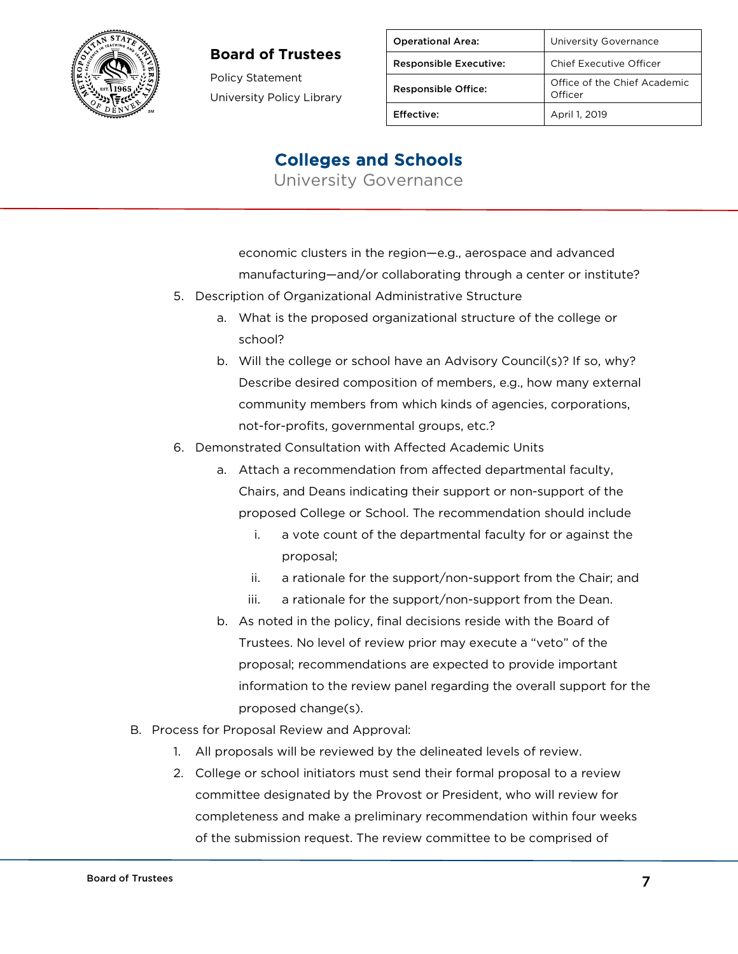

Policy Statement University Policy Library

| <b>Operational Area:</b>      | University Governance                   |
|-------------------------------|-----------------------------------------|
| <b>Responsible Executive:</b> | Chief Executive Officer                 |
| <b>Responsible Office:</b>    | Office of the Chief Academic<br>Officer |
| Effective:                    | April 1, 2019                           |

### Colleges and Schools

University Governance

economic clusters in the region—e.g., aerospace and advanced manufacturing—and/or collaborating through a center or institute?

- 5. Description of Organizational Administrative Structure
	- a. What is the proposed organizational structure of the college or school?
	- b. Will the college or school have an Advisory Council(s)? If so, why? Describe desired composition of members, e.g., how many external community members from which kinds of agencies, corporations, not-for-profits, governmental groups, etc.?
- 6. Demonstrated Consultation with Affected Academic Units
	- a. Attach a recommendation from affected departmental faculty, Chairs, and Deans indicating their support or non-support of the proposed College or School. The recommendation should include
		- i. a vote count of the departmental faculty for or against the proposal;
		- ii. a rationale for the support/non-support from the Chair; and
		- iii. a rationale for the support/non-support from the Dean.
	- b. As noted in the policy, final decisions reside with the Board of Trustees. No level of review prior may execute a "veto" of the proposal; recommendations are expected to provide important information to the review panel regarding the overall support for the proposed change(s).
- B. Process for Proposal Review and Approval:
	- 1. All proposals will be reviewed by the delineated levels of review.
	- 2. College or school initiators must send their formal proposal to a review committee designated by the Provost or President, who will review for completeness and make a preliminary recommendation within four weeks of the submission request. The review committee to be comprised of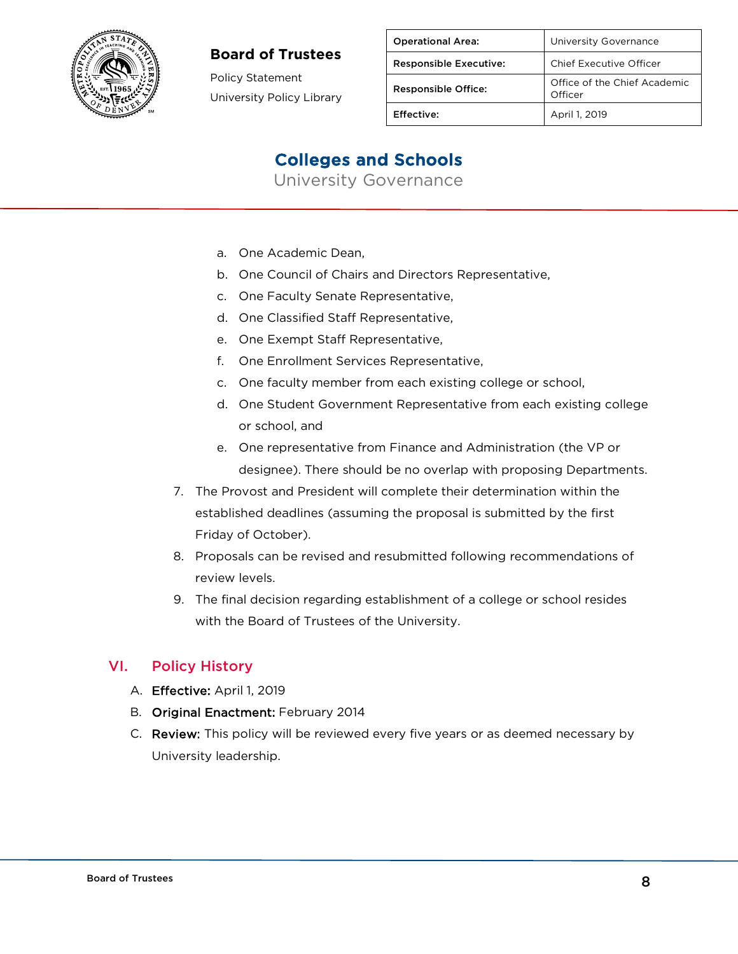

Policy Statement University Policy Library

| <b>Operational Area:</b>      | University Governance                   |
|-------------------------------|-----------------------------------------|
| <b>Responsible Executive:</b> | Chief Executive Officer                 |
| <b>Responsible Office:</b>    | Office of the Chief Academic<br>Officer |
| Effective:                    | April 1, 2019                           |

## Colleges and Schools

University Governance

- a. One Academic Dean,
- b. One Council of Chairs and Directors Representative,
- c. One Faculty Senate Representative,
- d. One Classified Staff Representative,
- e. One Exempt Staff Representative,
- f. One Enrollment Services Representative,
- c. One faculty member from each existing college or school,
- d. One Student Government Representative from each existing college or school, and
- e. One representative from Finance and Administration (the VP or designee). There should be no overlap with proposing Departments.
- 7. The Provost and President will complete their determination within the established deadlines (assuming the proposal is submitted by the first Friday of October).
- 8. Proposals can be revised and resubmitted following recommendations of review levels.
- 9. The final decision regarding establishment of a college or school resides with the Board of Trustees of the University.

#### VI. Policy History

- A. Effective: April 1, 2019
- B. Original Enactment: February 2014
- C. Review: This policy will be reviewed every five years or as deemed necessary by University leadership.